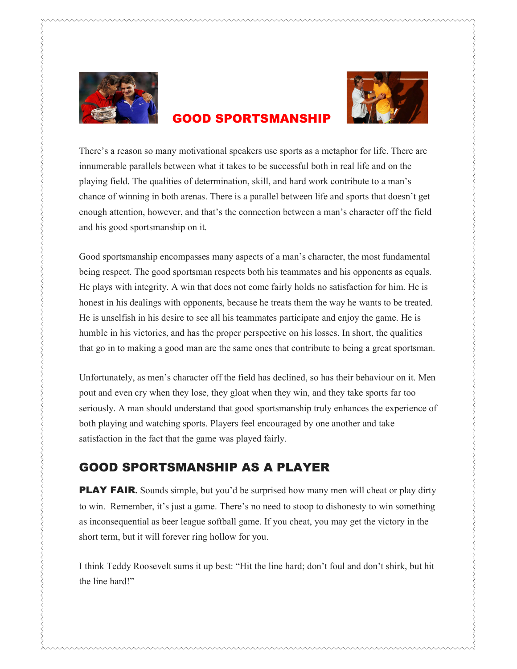



## **GOOD SPORTSMANSHI**

innumerable parallels between what it takes to be successful both in real life and on the playing field. The qualities of determination, skill, and hard work contribute to a man's chance of winning in both arenas. There is a parallel between life and sports that doesn't get enough attention, however, and that's the connection between a man's character off the field and his good sportsmanship on it.

There is a reason so many motivational speakers use powers as a metaphor for life. There are a reason so many motivational speakers use sports as a metaphor for life. There are a metaphor for the sports are a metaphor for Good sportsmanship encompasses many aspects of a man's character, the most fundamental being respect. The good sportsman respects both his teammates and his opponents as equals. He plays with integrity. A win that does not come fairly holds no satisfaction for him. He is honest in his dealings with opponents, because he treats them the way he wants to be treated. He is unselfish in his desire to see all his teammates participate and enjoy the game. He is humble in his victories, and has the proper perspective on his losses. In short, the qualities that go in to making a good man are the same ones that contribute to being a great sportsman.

Unfortunately, as men's character off the field has declined, so has their behaviour on it. Men pout and even cry when they lose, they gloat when they win, and they take sports far too seriously. A man should understand that good sportsmanship truly enhances the experience of both playing and watching sports. Players feel encouraged by one another and take satisfaction in the fact that the game was played fairly.

## GOOD SPORTSMANSHIP AS A PLAYER

**PLAY FAIR.** Sounds simple, but you'd be surprised how many men will cheat or play dirty to win. Remember, it's just a game. There's no need to stoop to dishonesty to win something as inconsequential as beer league softball game. If you cheat, you may get the victory in the short term, but it will forever ring hollow for you.

I think Teddy Roosevelt sums it up best: "Hit the line hard; don't foul and don't shirk, but hit the line hard!"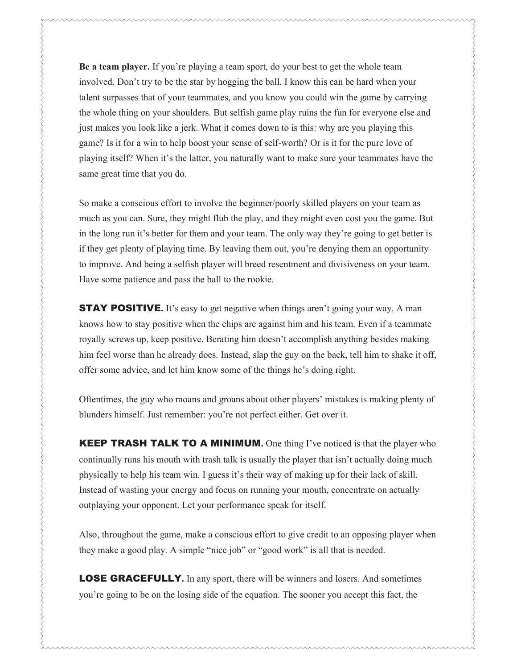Be a team player. If you're playing a team sport, do your best to get the whole team involved. Don't try to be the star by hogging the ball. I know this can be hard when your talent surpasses that of your teammates, and you know you could win the game by carrying the whole thing on your shoulders. But selfish game play ruins the fun for everyone else and just makes you look like a jerk. What it comes down to is this: why are you playing this game? Is it for a win to help boost your sense of self-worth? Or is it for the pure love of playing itself? When it's the latter, you naturally want to make sure your teammates have the same great time that you do.

So make a conscious effort to involve the beginner/poorly skilled players on your team as much as you can. Sure, they might flub the play, and they might even cost you the game. But in the long run it's better for them and your team. The only way they're going to get better is if they get plenty of playing time. By leaving them out, you're denying them an opportunity to improve. And being a selfish player will breed resentment and divisiveness on your team. Have some patience and pass the ball to the rookie.

**STAY POSITIVE.** It's easy to get negative when things aren't going your way. A man knows how to stay positive when the chips are against him and his team. Even if a teammate royally screws up, keep positive. Berating him doesn't accomplish anything besides making him feel worse than he already does. Instead, slap the guy on the back, tell him to shake it off, offer some advice, and let him know some of the things he's doing right.

</u>

Oftentimes, the guy who moans and groans about other players' mistakes is making plenty of blunders himself. Just remember: you're not perfect either. Get over it.

**KEEP TRASH TALK TO A MINIMUM.** One thing I've noticed is that the player who continually runs his mouth with trash talk is usually the player that isn't actually doing much physically to help his team win. I guess it's their way of making up for their lack of skill. Instead of wasting your energy and focus on running your mouth, concentrate on actually outplaying your opponent. Let your performance speak for itself.

Also, throughout the game, make a conscious effort to give credit to an opposing player when they make a good play. A simple "nice job" or "good work" is all that is needed.

**LOSE GRACEFULLY.** In any sport, there will be winners and losers. And sometimes you're going to be on the losing side of the equation. The sooner you accept this fact, the